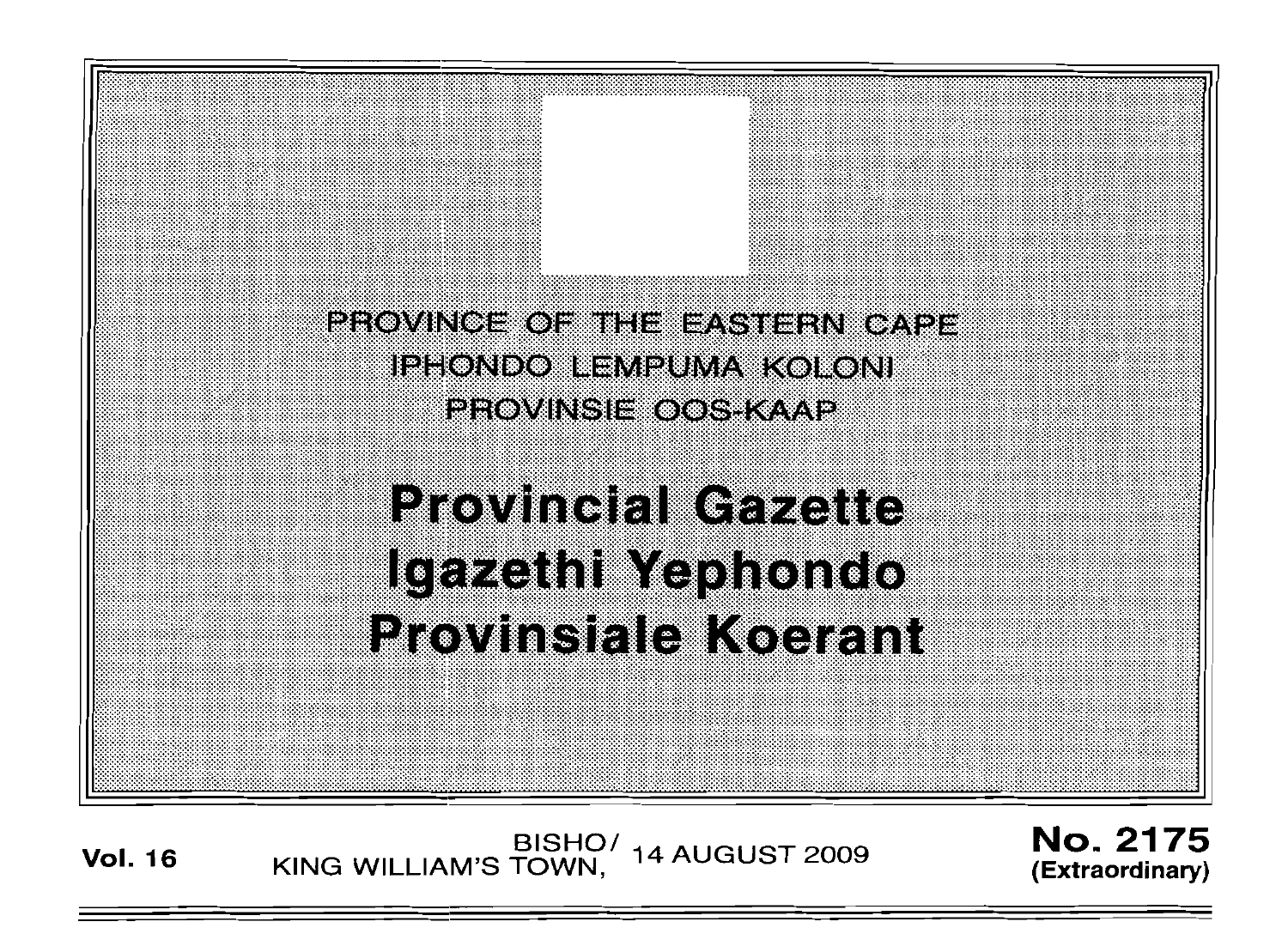

**Provincial Gazette** Igazethi Yephondo **Provinsiale Koerant** 

**Vol. 16** BISHO/ KING WILLIAM'S TOWN, 14 AUGUST 2009

No. 2175 **(Extraordinary)**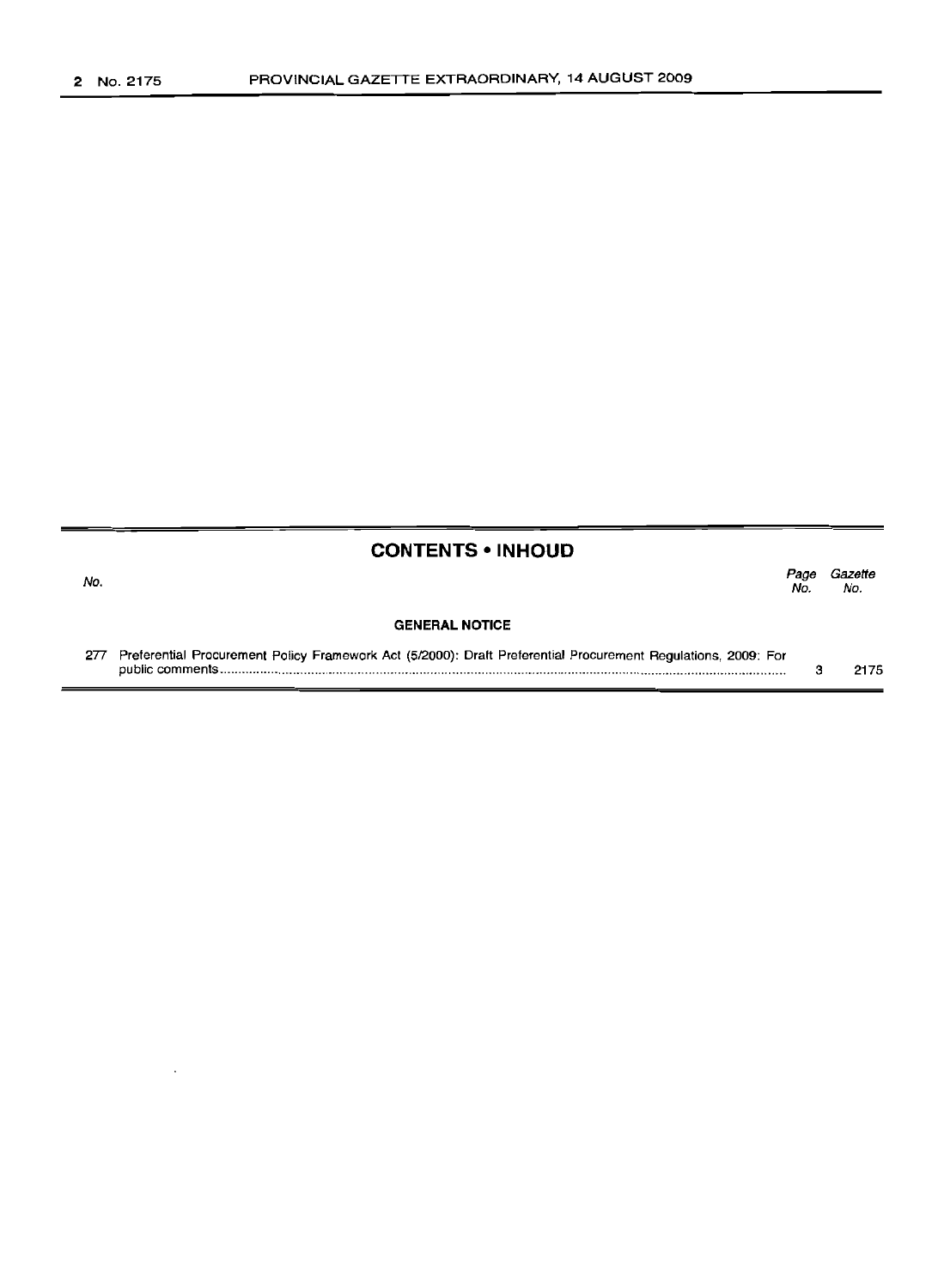# **CONTENTS • INHOUD**

Page Gazette No. No.

# **GENERAL NOTICE**

| 277 Preferential Procurement Policy Framework Act (5/2000): Draft Preferential Procurement Regulations, 2009: For |      |
|-------------------------------------------------------------------------------------------------------------------|------|
|                                                                                                                   | 2175 |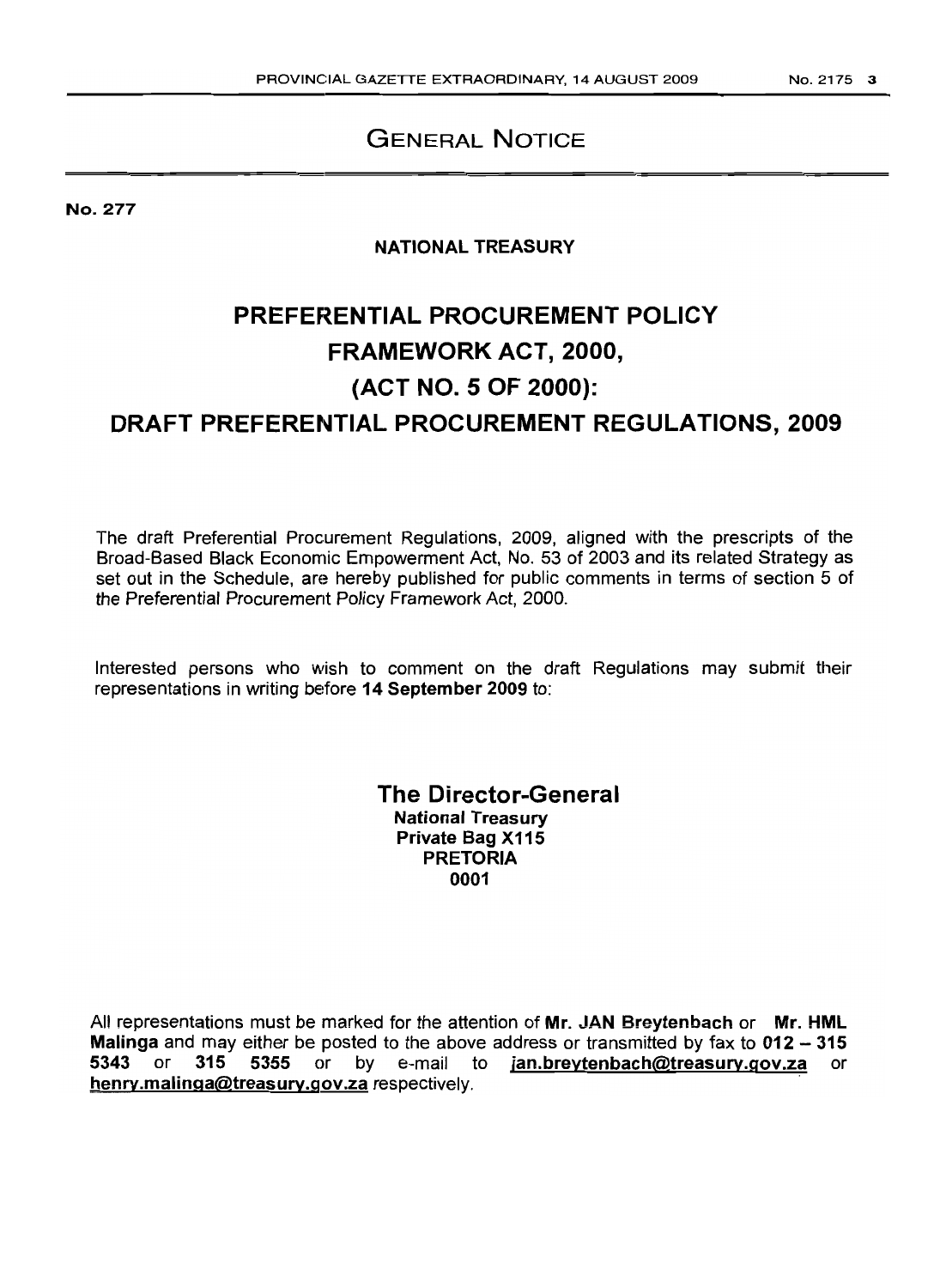# GENERAL NOTICE

No. 277

# NATIONAL TREASURY

# PREFERENTIAL PROCUREMENT POLICY FRAMEWORK ACT, 2000, (ACT NO.5 OF 2000): DRAFT PREFERENTIAL PROCUREMENT REGULATIONS, 2009

The draft Preferential Procurement Regulations, 2009, aligned with the prescripts of the Broad-Based Black Economic Empowerment Act, No. 53 of 2003 and its related Strategy as set out in the Schedule, are hereby published for public comments in terms of section 5 of the Preferential Procurement Policy Framework Act, 2000.

Interested persons who wish to comment on the draft Regulations may submit their representations in writing before 14 September 2009 to:

> The Director-General National Treasury Private Bag X115 PRETORIA 0001

All representations must be marked for the attention of Mr. JAN Breytenbach or Mr. HML **Malinga** and may either be posted to the above address or transmitted by fax to 012 - 315<br>5343 or 315 5355 or by e-mail to jan.breytenbach@treasury.gov.za or jan.breytenbach@treasury.gov.za or henry.malinga@treasury.gov.za respectively.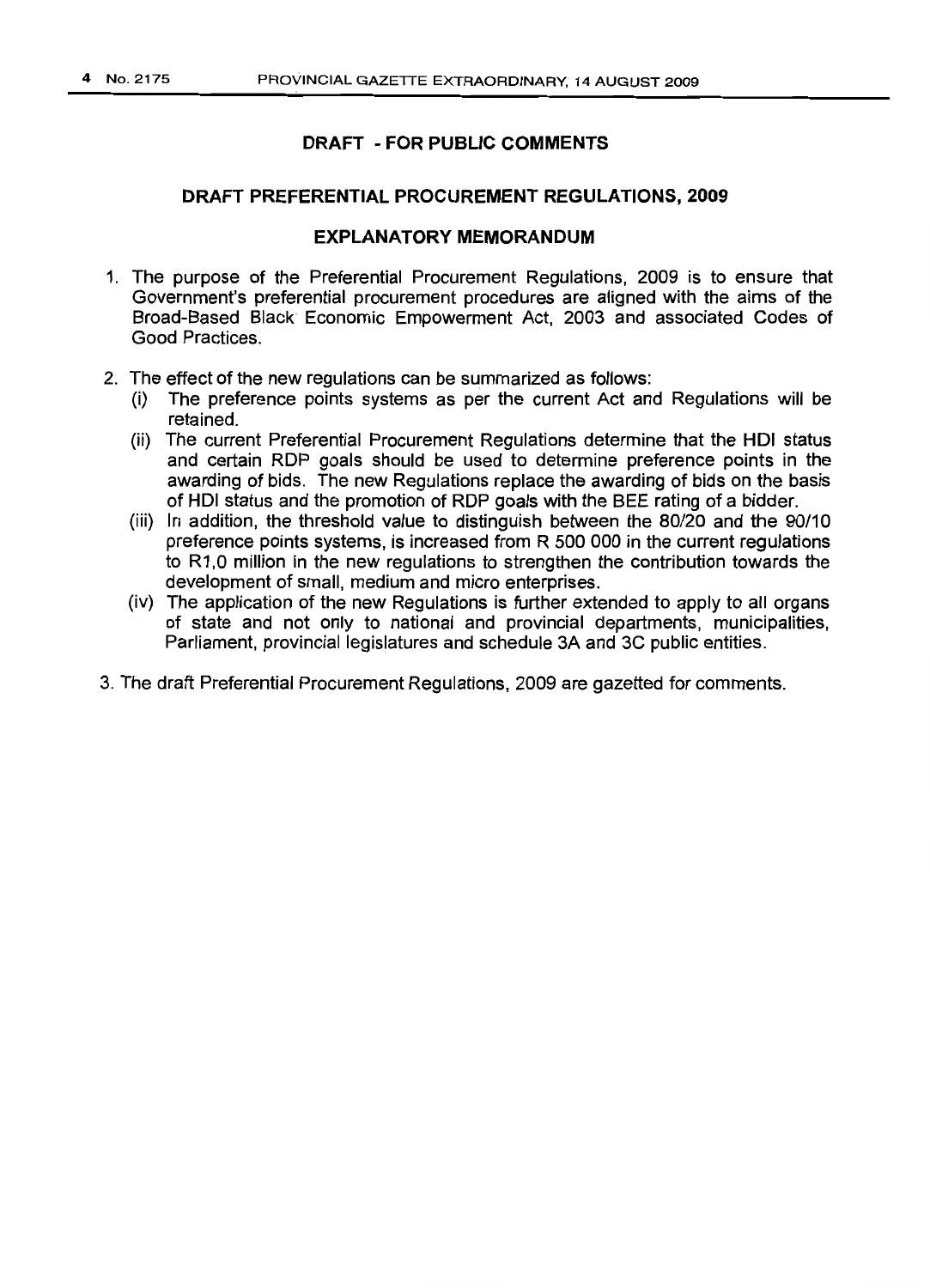#### **DRAFT PREFERENTIAL PROCUREMENT REGULATIONS, 2009**

#### **EXPLANATORY MEMORANDUM**

- 1. The purpose of the Preferential Procurement Regulations, 2009 is to ensure that Government's preferential procurement procedures are aligned with the aims of the Broad-Based Black Economic Empowerment Act, 2003 and associated Codes of Good Practices.
- 2. The effect of the new regulations can be summarized as follows:
	- (i) The preference points systems as per the current Act and Regulations will be retained.
	- (ii) The current Preferential Procurement Regulations determine that the HOI status and certain ROP goals should be used to determine preference points in the awarding of bids. The new Regulations replace the awarding of bids on the basis of HOI status and the promotion of RDP goals with the BEE rating of a bidder.
	- (iii) In addition, the threshold value to distinguish between the 80/20 and the 90/10 preference points systems, is increased from R 500 000 in the current regulations to R1,0 million in the new regulations to strengthen the contribution towards the development of small, medium and micro enterprises.
	- (lv) The application of the new Regulations is further extended to apply to all organs of state and not only to national and provincial departments, municipalities, Parliament, provincial legislatures and schedule 3A and 3C public entities.
- 3. The draft Preferential Procurement Regulations, 2009 are gazetted for comments.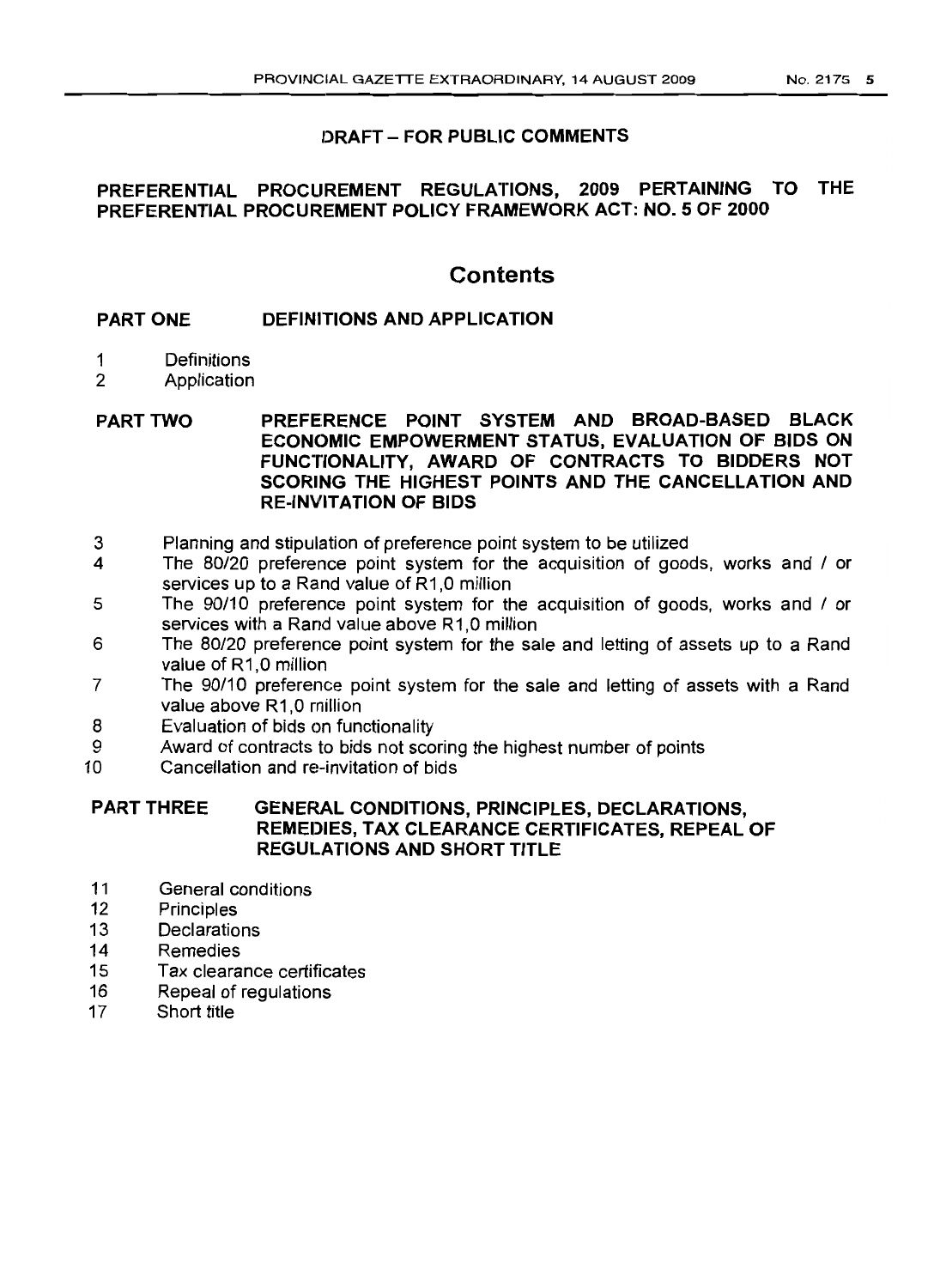#### **PREFERENTIAL PROCUREMENT REGULATIONS, 2009 PERTAINING TO THE PREFERENTIAL PROCUREMENT POLICY FRAMEWORK ACT: NO.5 OF 2000**

# **Contents**

#### **PART ONE DEFINITIONS AND APPLICATION**

- 1 Definitions
- 2 Application

PART TWO **PREFERENCE POINT SYSTEM AND BROAD-BASED BLACK ECONOMIC EMPOWERMENT STATUS, EVALUATION OF BIDS ON FUNCTIONALITY, AWARD OF CONTRACTS TO BIDDERS NOT SCORING THE HIGHEST POINTS AND THE CANCELLATION AND RE-INVITATION OF BIDS**

- 3 Planning and stipulation of preference point system to be utilized
- 4 The 80/20 preference point system for the acquisition of goods, works and / or services up to a Rand value of R1.0 million
- 5 The 90/10 preference point system for the acquisition of goods, works and / or services with a Rand value above R1.0 million
- 6 The 80/20 preference point system for the sale and letting of assets up to a Rand value of R1.0 million
- 7 The 90/10 preference point system for the sale and letting of assets with a Rand value above R1,0 million
- 8 Evaluation of bids on functionality
- 9 Award of contracts to bids not scoring the highest number of points<br>10 Cancellation and re-invitation of bids
- Cancellation and re-invitation of bids

#### PART THREE **GENERAL CONDITIONS, PRINCIPLES, DECLARATIONS, REMEDIES, TAX CLEARANCE CERTIFICATES, REPEAL OF REGULATIONS AND SHORT TITLE**

- 11 General conditions<br>12 Principles
- **Principles**
- 13 Declarations
- 14 Remedies
- 15 Tax clearance certificates
- 16 Repeal of regulations
- 17 Short title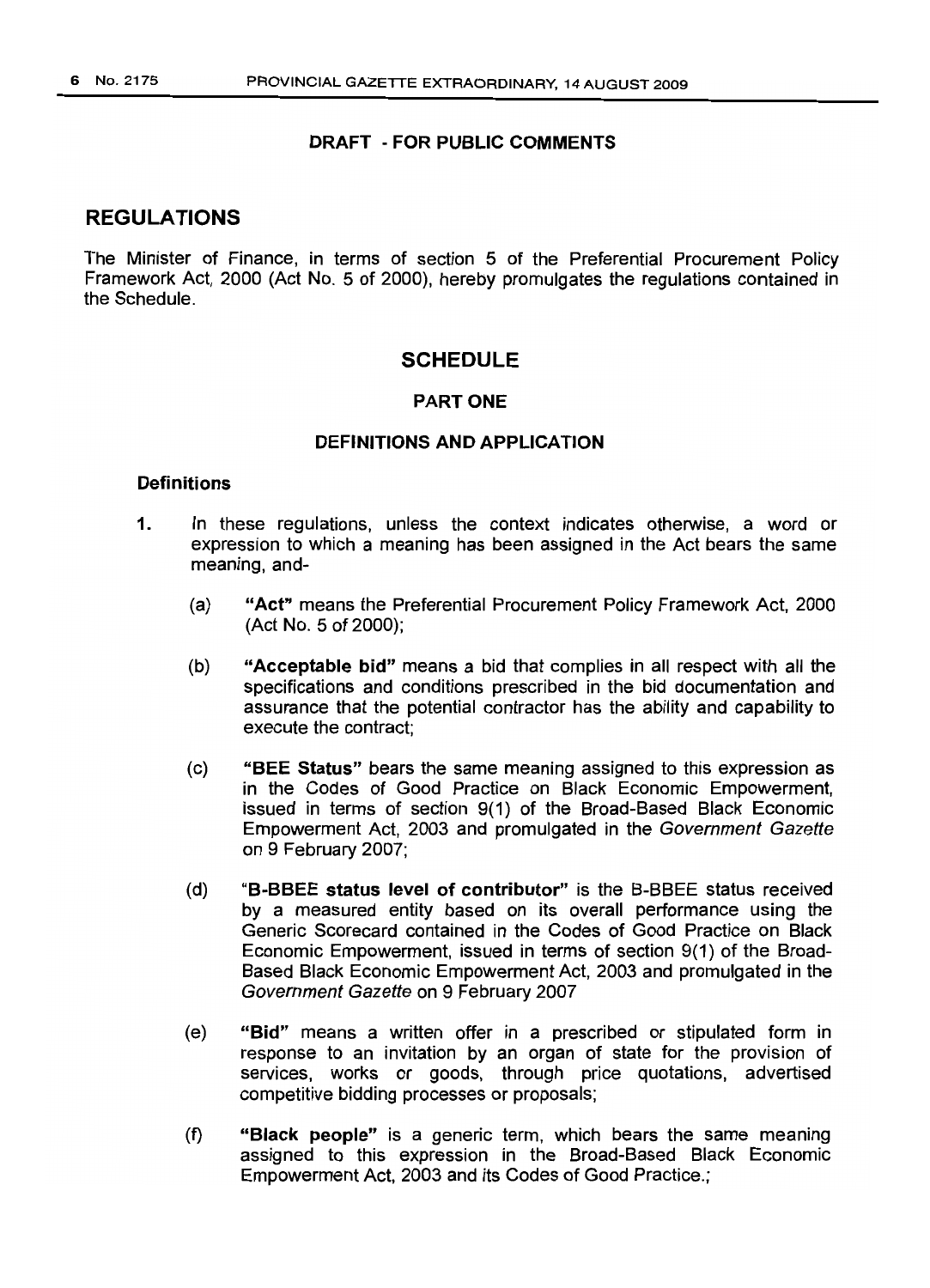#### REGULATIONS

The Minister of Finance, in terms of section 5 of the Preferential Procurement Policy Framework Act, 2000 (Act No. 5 of 2000), hereby promulgates the regulations contained in the Schedule.

#### **SCHEDULE**

#### PART ONE

#### DEFINITIONS AND APPLICATION

#### **Definitions**

- 1. In these regulations, unless the context indicates otherwise, a word or expression to which a meaning has been assigned in the Act bears the same meaning, and-
	- (a) "Act" means the Preferential Procurement Policy Framework Act, 2000 (Act NO.5 of 2000);
	- (b) "Acceptable bid" means a bid that complies in all respect with all the specifications and conditions prescribed in the bid documentation and assurance that the potential contractor has the ability and capability to execute the contract;
	- (c) "BEE Status" bears the same meaning assigned to this expression as in the Codes of Good Practice on Black Economic Empowerment, issued in terms of section 9(1) of the Broad-Based Black Economic Empowerment Act, 2003 and promulgated in the Government Gazette on 9 February 2007;
	- (d) "B-BBEE status level of contributor" is the B-BBEE status received by a measured entity based on its overall performance using the Generic Scorecard contained in the Codes of Good Practice on Black Economic Empowerment, issued in terms of section 9(1) of the Broad-Based Black Economic Empowerment Act, 2003 and promulgated in the Government Gazette on 9 February 2007
	- (e) "Bid" means a written offer in a prescribed or stipulated form in response to an invitation by an organ of state for the provision of services, works or goods, through price quotations, advertised competitive bidding processes or proposals;
	- (f) "Black people" is a generic term, which bears the same meaning assigned to this expression in the Broad-Based Black Economic Empowerment Act, 2003 and its Codes of Good Practice.;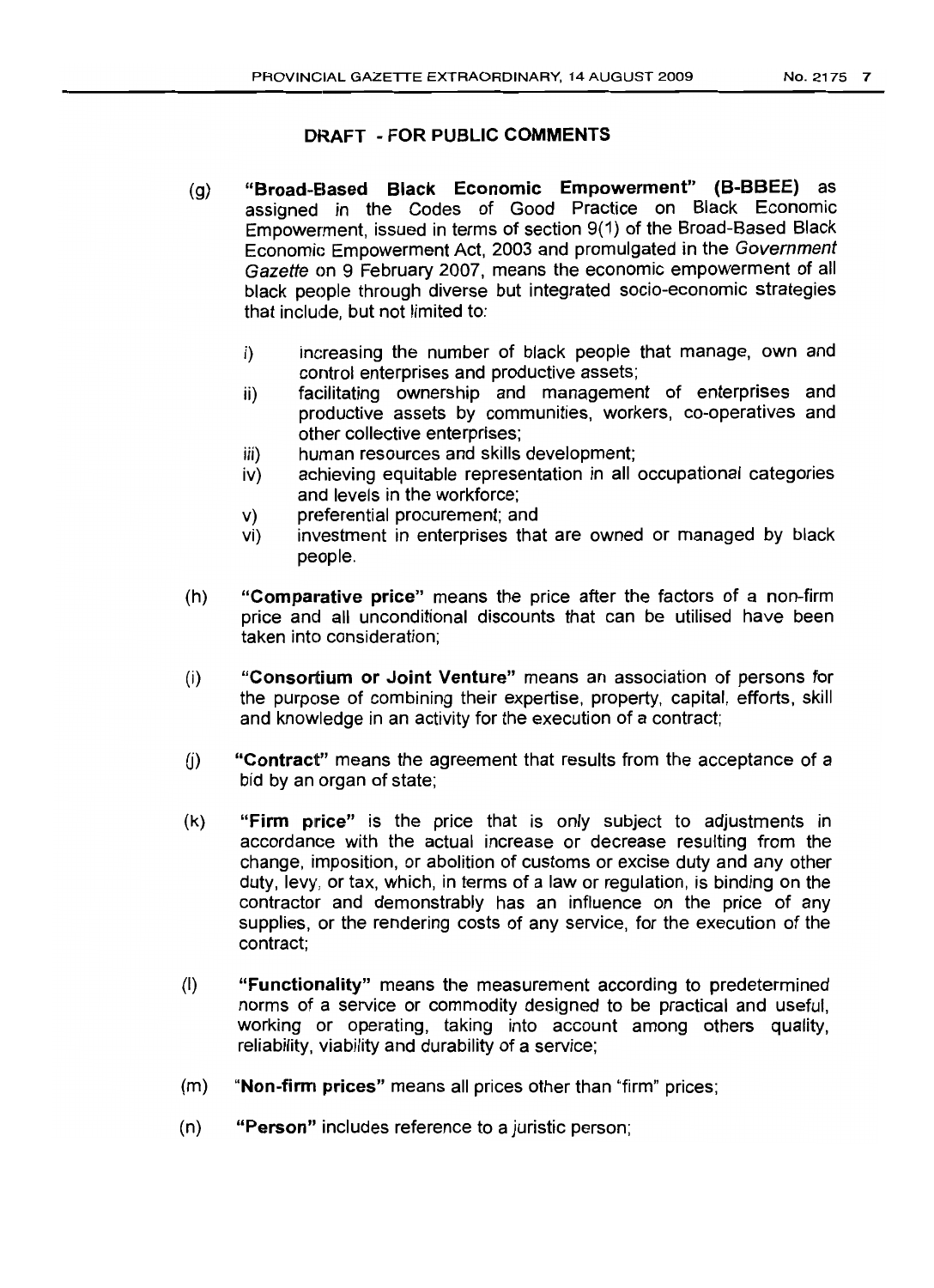- (g) "Broad-Based Black Economic Empowerment" (B-BBEE) as assigned in the Codes of Good Practice on Black Economic Empowerment, issued in terms of section 9(1) of the Broad-Based Black Economic Empowerment Act, 2003 and promulgated in the Government Gazette on 9 February 2007, means the economic empowerment of all black people through diverse but integrated socio-economic strategies that include, but not limited to:
	- i) increasing the number of black people that manage, own and control enterprises and productive assets;
	- ii) facilitating ownership and management of enterprises and productive assets by communities, workers, co-operatives and other collective enterprises;
	- iii) human resources and skills development;
	- iv) achieving equitable representation in all occupational categories and levels in the workforce;
	- v) preferential procurement; and
	- vi) investment in enterprises that are owned or managed by black people.
- (h) "Comparative price" means the price after the factors of a non-firm price and all unconditional discounts that can be utilised have been taken into consideration;
- (i) "Consortium or Joint Venture" means an association of persons for the purpose of combining their expertise, property, capital, efforts, skill and knowledge in an activity for the execution of a contract;
- (i) "Contract" means the agreement that results from the acceptance of a bid by an organ of state;
- (k) "Firm price" is the price that is only subject to adjustments in accordance with the actual increase or decrease resulting from the change, imposition, or abolition of customs or excise duty and any other duty, levy, or tax, which, in terms of a law or regulation, is binding on the contractor and demonstrably has an influence on the price of any supplies, or the rendering costs of any service, for the execution of the contract;
- (I) "Functionality" means the measurement according to predetermined norms of a service or commodity designed to be practical and useful, working or operating, taking into account among others quality, reliability, viability and durability of a service;
- (m) "Non-firm prices" means all prices other than "firm" prices;
- (n) "Person" includes reference to a juristic person;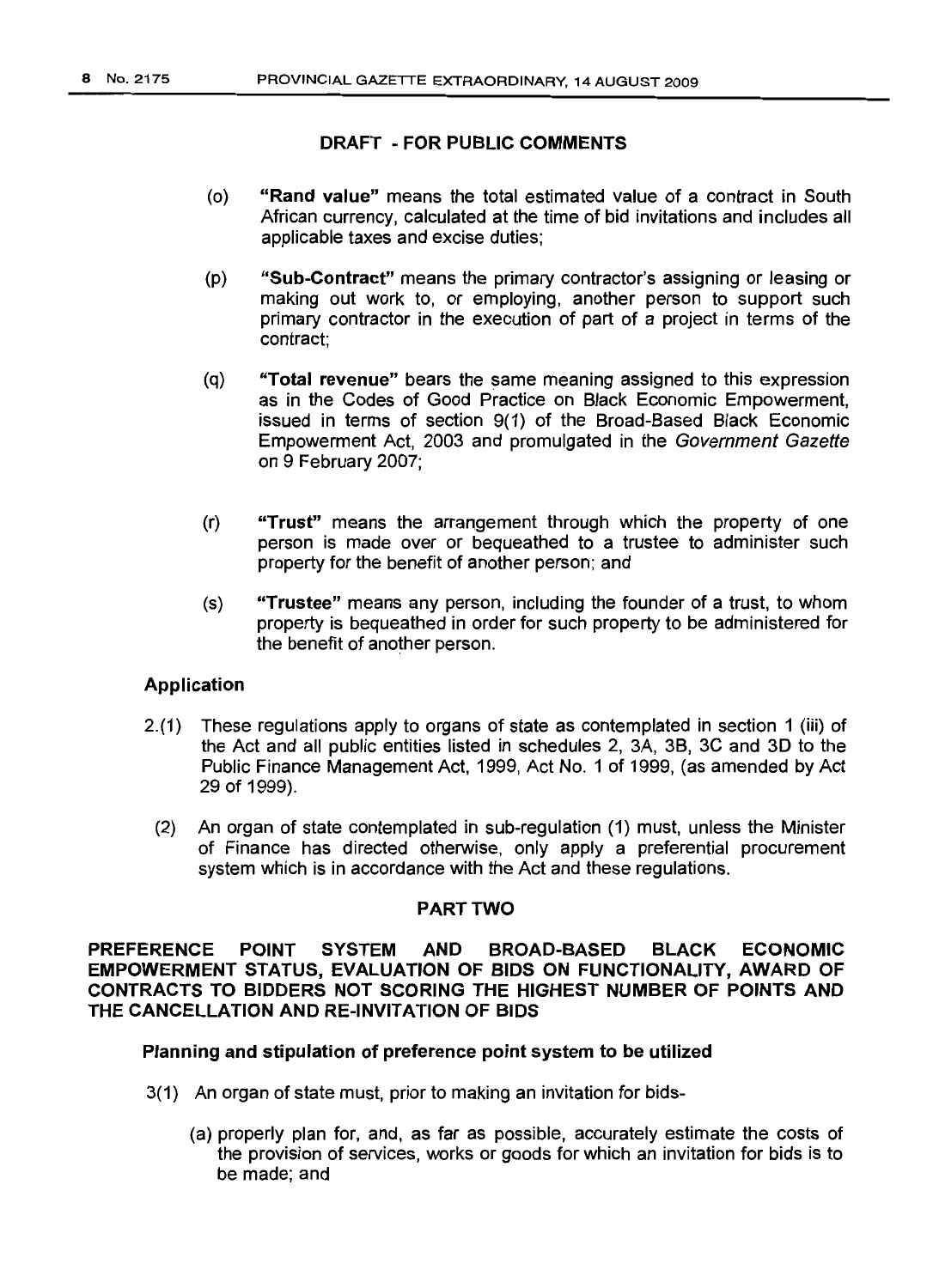- (0) "Rand value" means the total estimated value of a contract in South African currency, calculated at the time of bid invitations and includes all applicable taxes and excise duties;
- (p) "Sub-Contract" means the primary contractor's assigning or leasing or making out work to, or employing, another person to support such primary contractor in the execution of part of a project in terms of the contract;
- (q) "Total revenue" bears the same meaning assigned to this expression as in the Codes of Good Practice on Black Economic Empowerment, issued in terms of section 9(1) of the Broad-Based Black Economic Empowerment Act, 2003 and promulgated in the Government Gazette on 9 February 2007;
- (r) "Trust" means the arrangement through which the property of one person is made over or bequeathed to a trustee to administer such property for the benefit of another person; and
- (s) "Trustee" means any person, including the founder of a trust, to whom property is bequeathed in order for such property to be administered for the benefit of another person.

#### Application

- 2.(1) These regulations apply to organs of state as contemplated in section 1 (iii) of the Act and all public entities listed in schedules 2, 3A, 38, 3C and 3D to the Public Finance Management Act, 1999, Act No. 1 of 1999, (as amended by Act 29 of 1999).
	- (2) An organ of state contemplated in suo-regulation (1) must, unless the Minister of Finance has directed otherwise, only apply a preferential procurement system which is in accordance with the Act and these requilations.

#### PART TWO

PREFERENCE POINT SYSTEM AND BROAD-BASED BLACK ECONOMIC EMPOWERMENT STATUS, EVALUATION OF BIDS ON FUNCTIONALITY, AWARD OF CONTRACTS TO BIDDERS NOT SCORING THE HIGHEST NUMBER OF POINTS AND THE CANCELLATION AND RE-INVITATION OF BIDS

#### Planning and stipulation of preference point system to be utilized

- 3(1) An organ of state must, prior to making an invitation for bids-
	- (a) properly plan for, and, as far as possible, accurately estimate the costs of the provision of services, works or goods for which an invitation for bids is to be made; and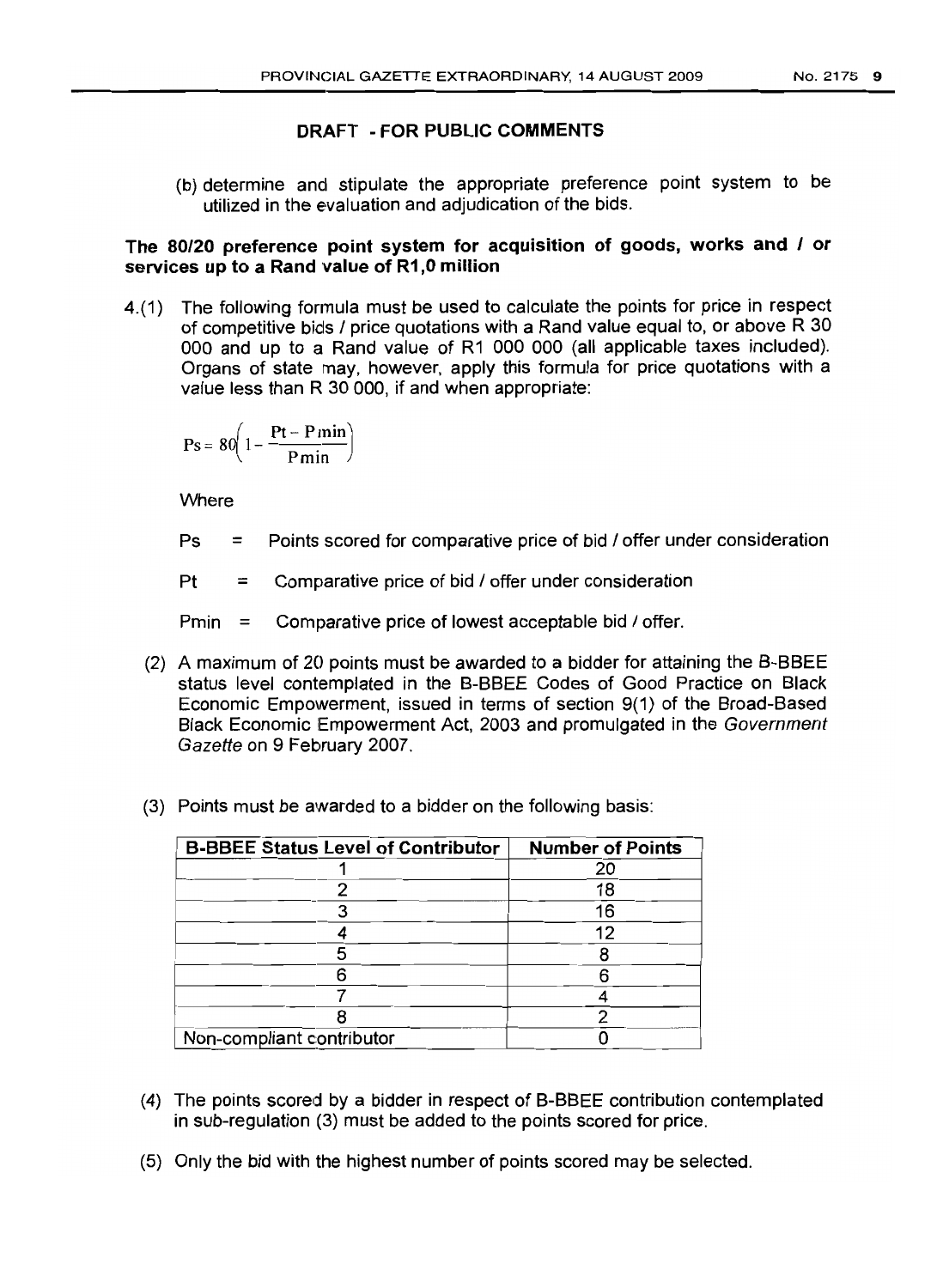(b) determine and stipulate the appropriate preference point system to be utilized in the evaluation and adjudication of the bids.

#### The 80/20 preference point system for acquisition of goods, works and / or services up to a Rand value of R1,0 million

4.(1) The following formula must be used to calculate the points for price in respect of competitive bids / price quotations with a Rand value equal to, or above R 30 000 and up to a Rand value of R1 000 000 (all applicable taxes included). Organs of state may, however, apply this formula for price quotations with a value less than R 30 ODD, if and when appropriate:

$$
Ps = 80 \left( 1 - \frac{Pt - P\min}{P\min} \right)
$$

Where

- Ps = Points scored for comparative price of bid / offer under consideration
- $Pt =$  Comparative price of bid / offer under consideration
- $Pmin =$  Comparative price of lowest acceptable bid  $\ell$  offer.
- (2) A maximum of 20 points must be awarded to a bidder for attaining the B-BBEE status level contemplated in the B-BBEE Codes of Good Practice on Black Economic Empowerment, issued in terms of section 9(1) of the Broad-Based Black Economic Empowerment Act, 2003 and promulgated in the Government Gazette on 9 February 2007.
- (3) Points must be awarded to a bidder on the following basis:

| <b>B-BBEE Status Level of Contributor</b> | <b>Number of Points</b> |
|-------------------------------------------|-------------------------|
|                                           | 20                      |
|                                           | 18                      |
|                                           | 16                      |
|                                           | 12                      |
|                                           |                         |
|                                           |                         |
|                                           |                         |
|                                           |                         |
| Non-compliant contributor                 |                         |

- (4) The points scored by a bidder in respect of B-BBEE contribution contemplated in sub-regulation (3) must be added to the points scored for price.
- (5) Only the bid with the highest number of points scored may be selected.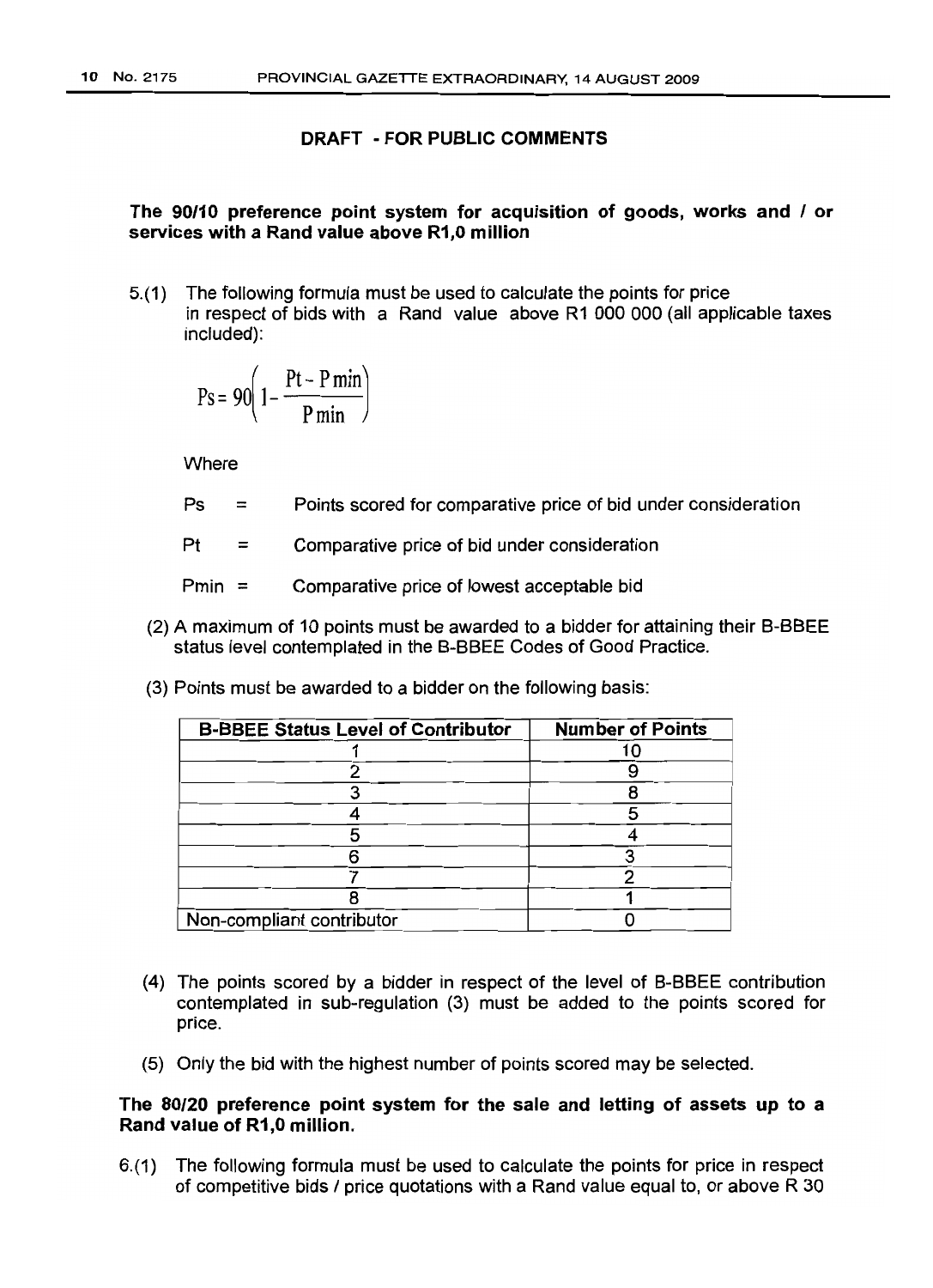#### The 90/10 preference point system for acquisition of goods, works and / or services with a Rand value above R1,O million

5.(1) The following formula must be used to calculate the points for price in respect of bids with a Rand value above R1 000 000 (all applicable taxes included):

$$
Ps = 90 \left( 1 - \frac{Pt - P\min}{P\min} \right)
$$

**Where** 

- $Ps =$ Points scored for comparative price of bid under consideration
- $Pt =$ Comparative price of bid under consideration

Pmin  $=$ Comparative price of lowest acceptable bid

- (2) A maximum of 10 points must be awarded to a bidder for attaining their B-BBEE status level contemplated in the B-BBEE Codes of Good Practice.
- (3) Points must be awarded to a bidder on the following basis:

| <b>B-BBEE Status Level of Contributor</b> | <b>Number of Points</b> |
|-------------------------------------------|-------------------------|
|                                           |                         |
|                                           |                         |
|                                           |                         |
|                                           |                         |
|                                           |                         |
|                                           |                         |
|                                           |                         |
|                                           |                         |
| Non-compliant contributor                 |                         |

- (4) The points scored by a bidder in respect of the level of B-BBEE contribution contemplated in sub-regulation (3) must be added to the points scored for price.
- (5) Only the bid with the highest number of points scored may be selected.

#### The 80/20 preference point system for the sale and letting of assets up to a Rand value of R1,O million.

6.(1) The following formula must be used to calculate the points for price in respect of competitive bids / price quotations with a Rand value equal to, or above R 30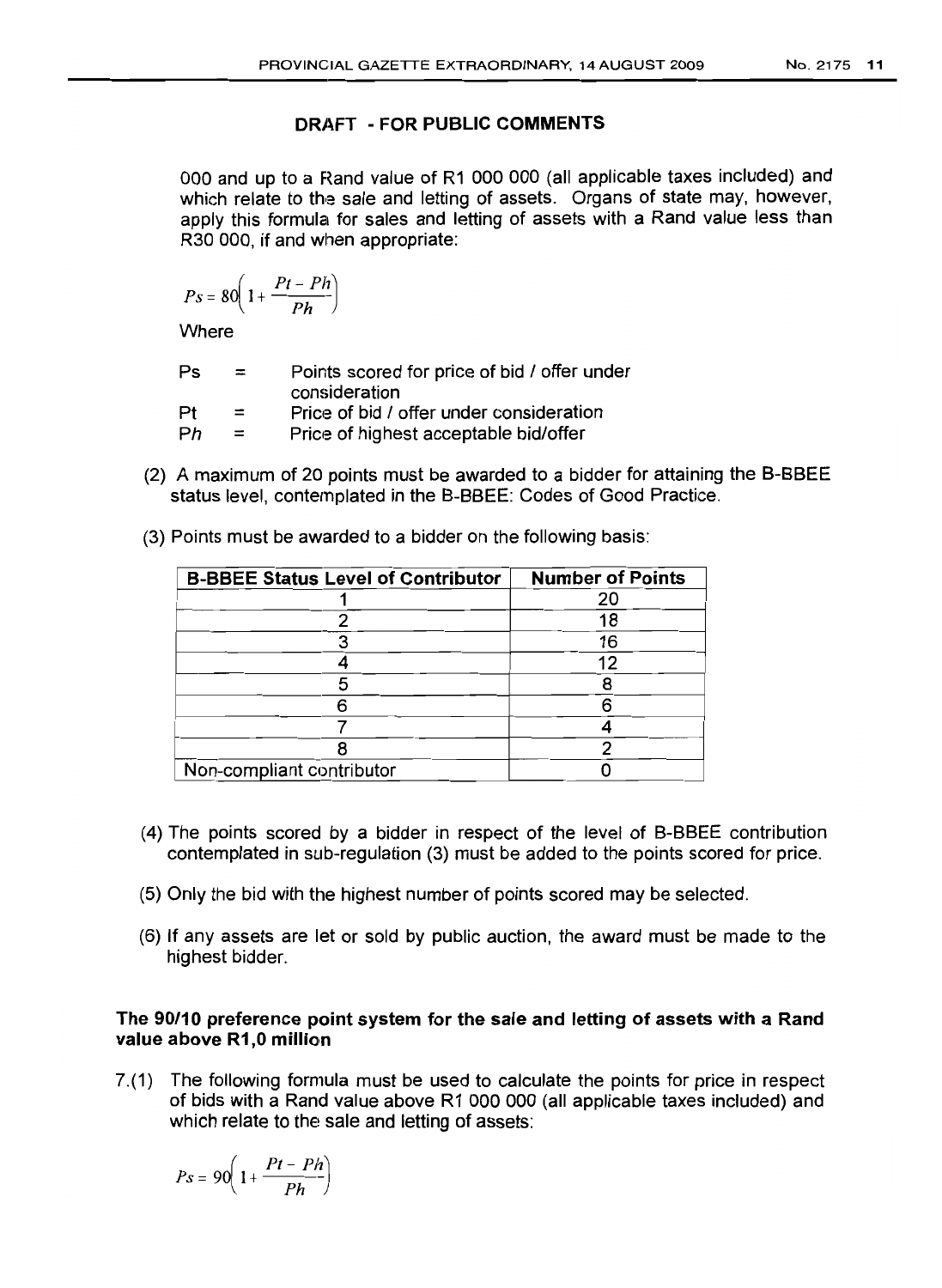000 and up to a Rand value of R1 000 000 (all applicable taxes included) and which relate to the sale and letting of assets. Organs of state may, however, apply this formula for sales and letting of assets with a Rand value less than R30 000, if and when appropriate:

$$
Ps = 80\left(1 + \frac{Pt - Ph}{Ph}\right)
$$

**Where** 

| Ps | $=$ | Points scored for price of bid / offer under<br>consideration |
|----|-----|---------------------------------------------------------------|
| Pt | $=$ | Price of bid / offer under consideration                      |
| Ph | $=$ | Price of highest acceptable bid/offer                         |

(2) A maximum of 20 points must be awarded to a bidder for attaining the B-BBEE status level, contemplated in the B-BBEE: Codes of Good Practice.

| <b>B-BBEE Status Level of Contributor</b> | <b>Number of Points</b> |
|-------------------------------------------|-------------------------|
|                                           | 20                      |
|                                           | 18                      |
|                                           | 16                      |
|                                           | 12                      |
|                                           |                         |
|                                           |                         |
|                                           |                         |
|                                           |                         |
| Non-compliant contributor                 |                         |

(3) Points must be awarded to a bidder on the following basis:

- (4) The points scored by a bidder in respect of the level of B-BBEE contribution contemplated in sub-regulation (3) must be added to the points scored for price.
- (5) Only the bid with the highest number of points scored may be selected.
- (6) If any assets are let or sold by public auction, the award must be made to the highest bidder.

#### The 90/10 preference point system for the sale and letting of assets with a Rand value above R1,0 million

7.(1) The following formula must be used to calculate the points for price in respect of bids with a Rand value above R1 000 000 (all applicable taxes included) and which relate to the sale and letting of assets:

$$
Ps = 90\left(1 + \frac{Pt - Ph}{Ph}\right)
$$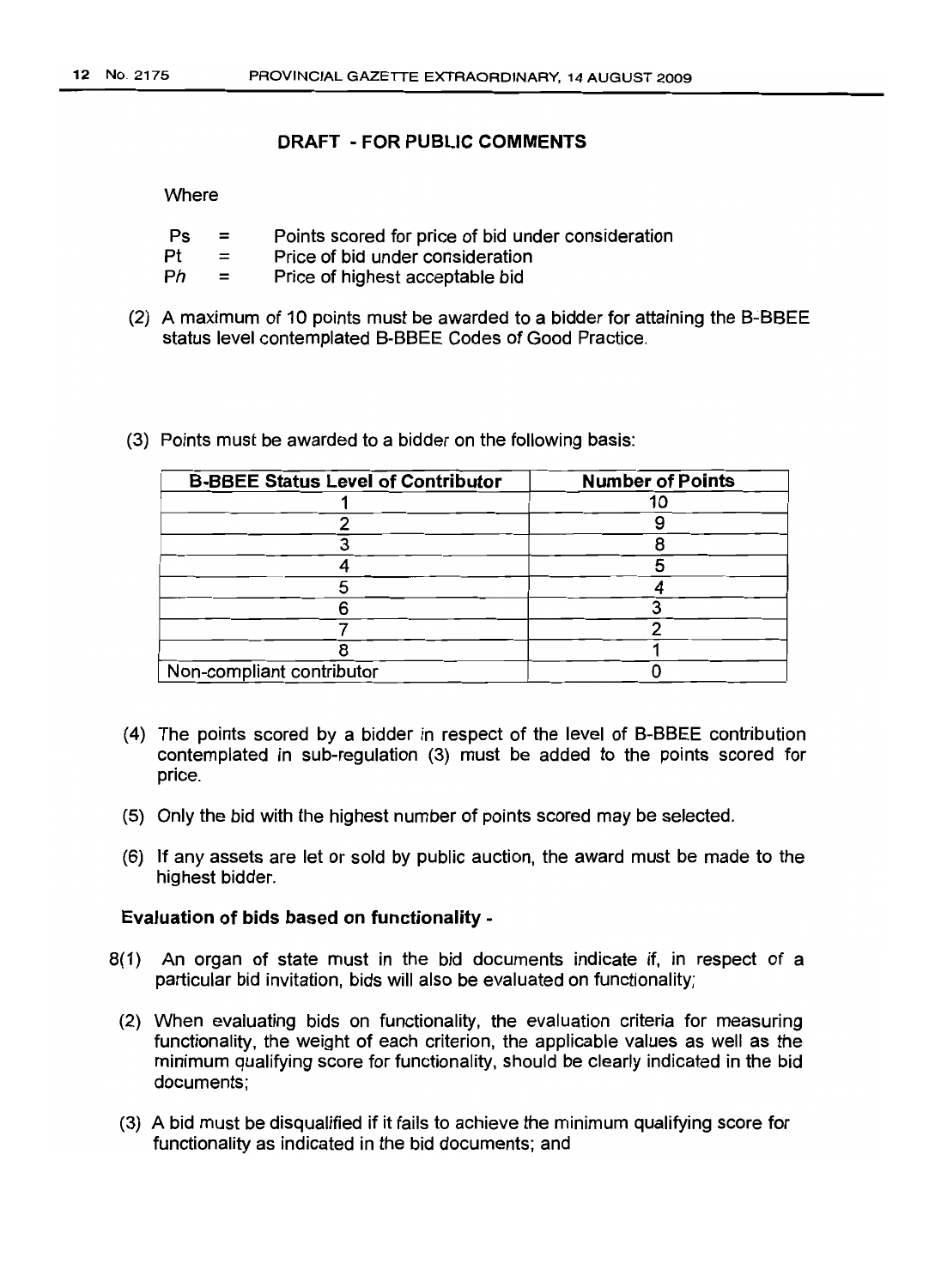#### **Where**

| Ps | Points scored for price of bid under consideration |
|----|----------------------------------------------------|
|----|----------------------------------------------------|

- $Pf =$ Price of bid under consideration
- $Ph =$ Price of highest acceptable bid
- (2) A maximum of 10 points must be awarded to a bidder for attaining the B-BBEE status level contemplated B-BBEE Codes of Good Practice.
- (3) Points must be awarded to a bidder on the following basis:

| <b>B-BBEE Status Level of Contributor</b> | <b>Number of Points</b> |
|-------------------------------------------|-------------------------|
|                                           |                         |
|                                           |                         |
|                                           |                         |
|                                           |                         |
|                                           |                         |
|                                           |                         |
|                                           |                         |
|                                           |                         |
| Non-compliant contributor                 |                         |

- (4) The points scored by a bidder in respect of the level of B-BBEE contribution contemplated in sub-regulation (3) must be added to the points scored for price.
- (5) Only the bid with the highest number of points scored may be selected.
- (6) If any assets are Jet or sold by public auction, the award must be made to the highest bidder.

#### **Evaluation of bids based on functionality -**

- 8(1) An organ of state must in the bid documents indicate if, in respect of a particular bid invitation, bids will also be evaluated on functionality;
	- (2) When evaluating bids on functionality, the evaluation criteria for measuring functionality, the weight of each criterion, the applicable values as well as the minimum qualifying score for functionality, should be clearly indicated in the bid documents;
	- (3) A bid must be disqualified if it fails to achieve the minimum qualifying score for functionality as indicated in the bid documents; and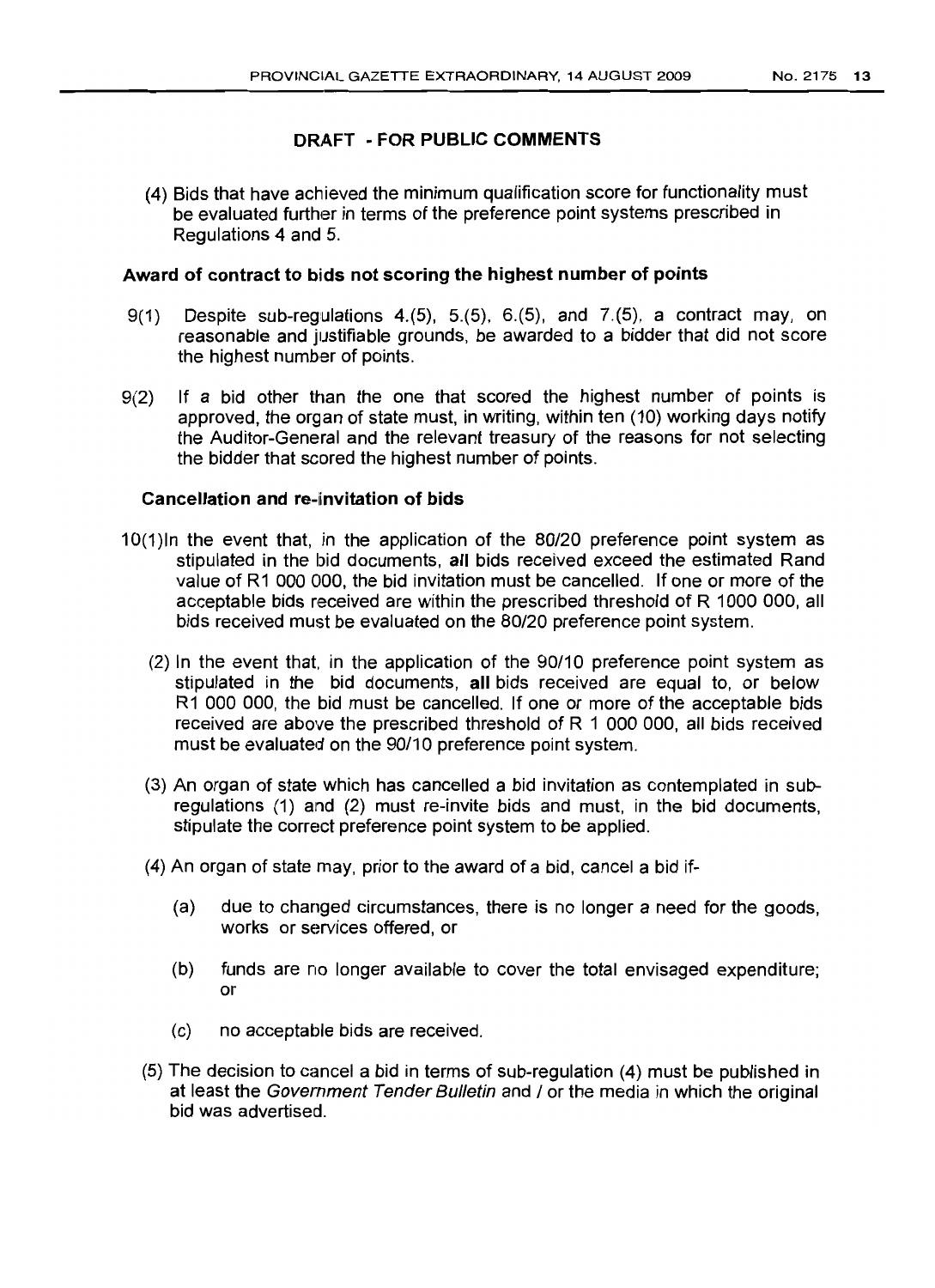(4) Bids that have achieved the minimum qualification score for functionality must be evaluated further in terms of the preference point systems prescribed in Regulations 4 and 5.

#### Award of contract to bids not scoring the highest number of points

- 9(1) Despite sub-regulations 4.(5), 5.(5), 6.(5), and 7.(5), a contract may, on reasonable and justifiable grounds, be awarded to a bidder that did not score the highest number of points.
- 9(2) If a bid other than the one that scored the highest number of points is approved, the organ of state must, in writing, within ten (10) working days notify the Auditor-General and the relevant treasury of the reasons for not selecting the bidder that scored the highest number of points.

#### Cancellation and re-invitation of bids

- 10(1)In the event that, in the application of the 80/20 preference point system as stipulated in the bid documents, all bids received exceed the estimated Rand value of R1 000 000, the bid invitation must be cancelled. If one or more of the acceptable bids received are within the prescribed threshold of R 1000 000, all bids received must be evaluated on the 80/20 preference point system.
	- (2) In the event that. in the application of the 90/10 preference point system as stipulated in the bid documents, all bids received are equal to, or below R1 000 000, the bid must be cancelled. If one or more of the acceptable bids received are above the prescribed threshold of R 1 000 000, all bids received must be evaluated on the 90/10 preference point system.
	- (3) An organ of state which has cancelled a bid invitation as contemplated in subregulations (1) and (2) must re-invite bids and must, in the bid documents, stipulate the correct preference point system to be applied.
	- (4) An organ of state may, prior to the award of a bid, cancel a bid if-
		- (a) due to changed circumstances, there is no longer a need for the goods, works or services offered, or
		- (b) funds are no longer available to cover the total envisaged expenditure; or
		- (c) no acceptable bids are received.
	- (5) The decision to cancel a bid in terms of sub-regulation (4) must be published in at least the Government Tender Bulletin and / or the media in which the original bid was advertised.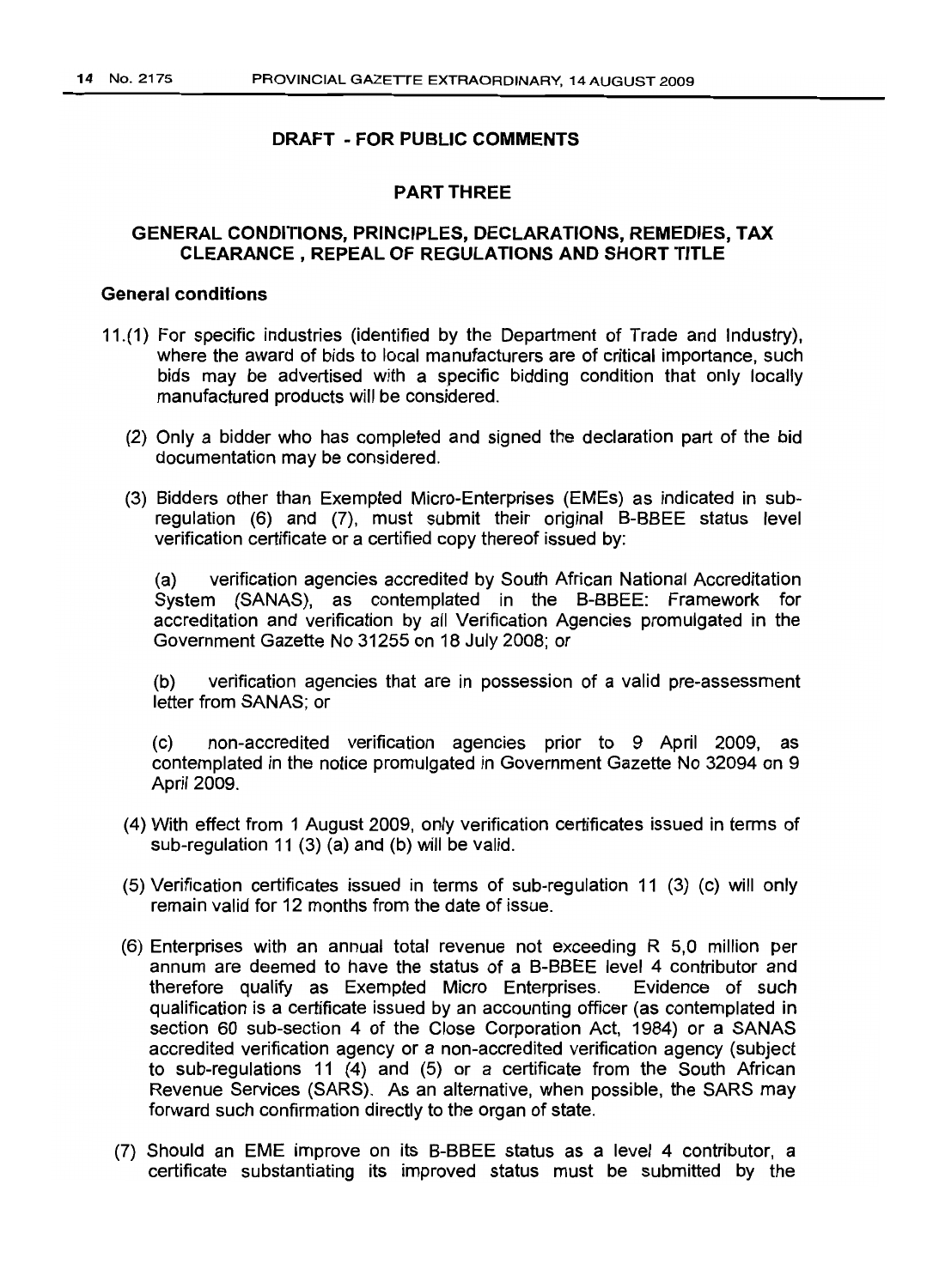#### PART THREE

#### GENERAL CONDITIONS, PRINCIPLES, DECLARATIONS, REMEDIES, TAX CLEARANCE, REPEAL OF REGULATIONS AND SHORT TITLE

#### General conditions

- 11.(1) For specific industries (identified by the Department of Trade and Industry), where the award of bids to local manufacturers are of critical importance, such bids may be advertised with a specific bidding condition that only locally manufactured products will be considered.
	- (2) Only a bidder who has completed and signed the declaration part of the bid documentation may be considered.
	- (3) Bidders other than Exempted Micro-Enterprises (EMEs) as indicated in subregulation (6) and (7), must submit their original B-BBEE status level verification certificate or a certified copy thereof issued by:

(a) verification agencies accredited by South African National Accreditation System (SANAS), as contemplated in the B-BBEE: Framework for accreditation and verification by all Verification Agencies promulgated in the Government Gazette No 31255 on 18 July 2008; or

(b) verification agencies that are in possession of a valid pre-assessment letter from SANAS; or

(c) non-accredited verification agencies prior to 9 April 2009, as contemplated in the notice promulgated in Government Gazette No 32094 on 9 April 2009.

- (4) With effect from 1 August 2009, only verification certificates issued in terms of sub-regulation 11 (3) (a) and (b) will be valid.
- (5) Verification certificates issued in terms of sub-regulation 11 (3) (c) will only remain valid for 12 months from the date of issue.
- (6) Enterprises with an annual total revenue not exceeding R 5,0 million per annum are deemed to have the status of a B-BBEE level 4 contributor and therefore qualify as Exempted Micro Enterprises. Evidence of such qualification is a certificate issued by an accounting officer (as contemplated in section 60 sub-section 4 of the Close Corporation Act, 1984) or a SANAS accredited verification agency or a non-accredited verification agency (subject to sub-regulations 11 (4) and (5) or a certificate from the South African Revenue Services (SARS). As an alternative, when possible, the SARS may forward such confirmation directly to the organ of state.
- (7) Should an EME improve on its B-BBEE status as a level 4 contributor, a certificate substantiating its improved status must be submitted by the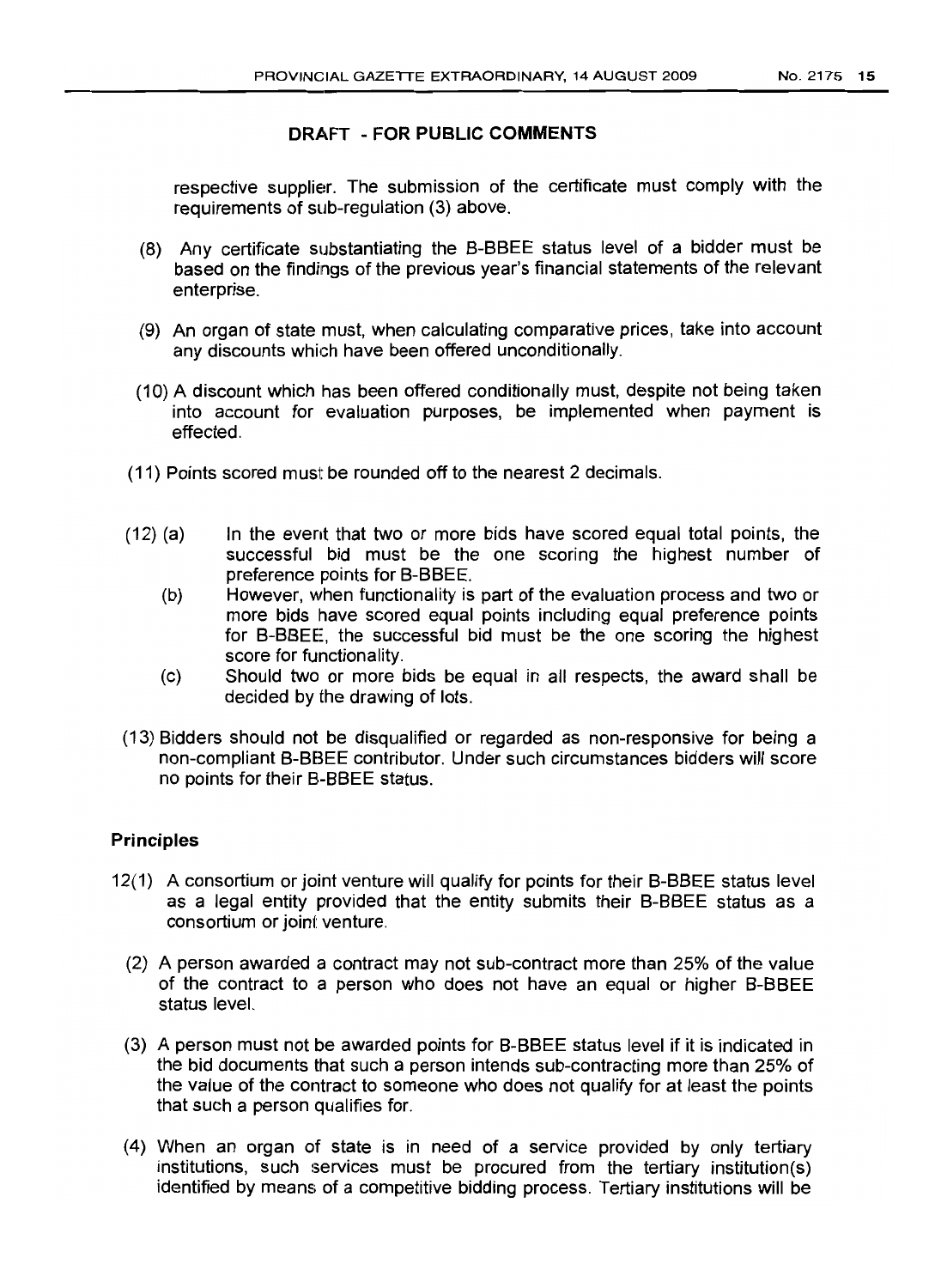respective supplier. The submission of the certificate must comply with the requirements of sub-requlation (3) above.

- (8) Any certificate substantiating the B-BBEE status level of a bidder must be based on the findings of the previous year's financial statements of the relevant enterprise.
- (9) An organ of state must, when calculating comparative prices, take into account any discounts which have been offered unconditionally.
- (10) A discount which has been offered conditionally must, despite not being taken into account for evaluation purposes, be implemented when payment is effected.
- (11) Points scored must be rounded off to the nearest 2 decimals.
- (12) (a) In the event that two or more bids have scored equal total points, the successful bid must be the one scoring the highest number of preference points for B-BBEE.
	- (b) However, when functionality is part of the evaluation process and two or more bids have scored equal points including equal preference points for B-BBEE, the successful bid must be the one scoring the highest score for functionality.
	- (c) Should two or more bids be equal in all respects, the award shall be decided by the drawing of lots.
- (13) Bidders should not be disqualified or regarded as non-responsive for being a non-compliant B-BBEE contributor. Under such circumstances bidders will score no points for their B.-BBEE status.

#### **Principles**

- 12(1) A consortium or joint venture will qualify for points for their B-BBEE status level as a legal entity provided that the entity submits their B-BBEE status as a consortium or joint venture.
	- (2) A person awarded a contract may not sub-contract more than 25% of the value of the contract to a person who does not have an equal or higher B-BBEE status level.
	- (3) A person must not be awarded points for B-BBEE status level if it is indicated in the bid documents that such a person intends sub-contracting more than 25% of the value of the contract to someone who does not qualify for at least the points that such a person qualifies for.
	- (4) When an organ of state is in need of a service provided by only tertiary institutions, such services must be procured from the tertiary institution(s) identified by means of a competitive bidding process. Tertiary institutions will be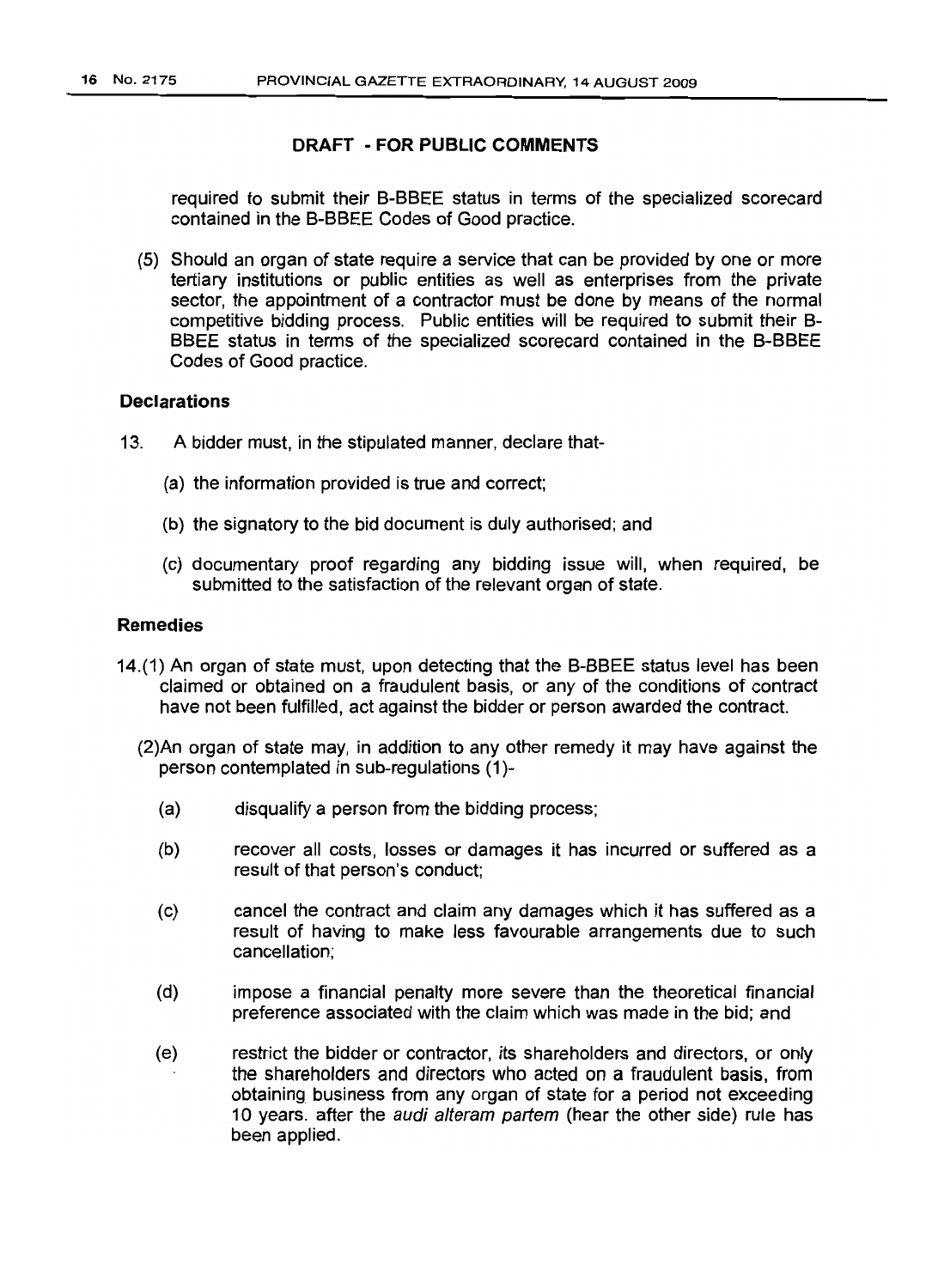required to submit their B-BBEE status in terms of the specialized scorecard contained in the B-BBEE Codes of Good practice.

(5) Should an organ of state require a service that can be provided by one or more tertiary institutions or public entities as well as enterprises from the private sector, the appointment of a contractor must be done by means of the normal competitive bidding process. Public entities will be required to submit their B-BBEE status in terms of the specialized scorecard contained in the B-BBEE Codes of Good practice.

#### **Declarations**

- 13. A bidder must, in the stipulated manner, declare that-
	- (a) the information provided is true and correct;
	- (b) the signatory to the bid document is duly authorised; and
	- (c) documentary proof regarding any bidding issue will, when required, be submitted to the satisfaction of the relevant organ of state.

#### Remedies

- 14.(1) An organ of state must, upon detecting that the B-BBEE status level has been claimed or obtained on a fraudulent basis, or any of the conditions of contract have not been fulfilled, act against the bidder or person awarded the contract.
	- (2)An organ of state may, in addition to any other remedy it may have against the person contemplated in sub-regulations (1)-
		- (a) disqualify a person from the bidding process;
		- (b) recover all costs, losses or damages it has incurred or suffered as a result of that person's conduct;
		- (c) cancel the contract and claim any damages which it has suffered as a result of having to make less favourable arrangements due to such cancellation;
		- (d) impose a financial penalty more severe than the theoretical financial preference associated with the claim which was made in the bid; and
		- (e) restrict the bidder or contractor, its shareholders and directors, or only the shareholders and directors who acted on a fraudulent basis, from obtaining business from any organ of state for a period not exceeding 10 years. after the *audi alteram partem* (hear the other side) rule has been applied.